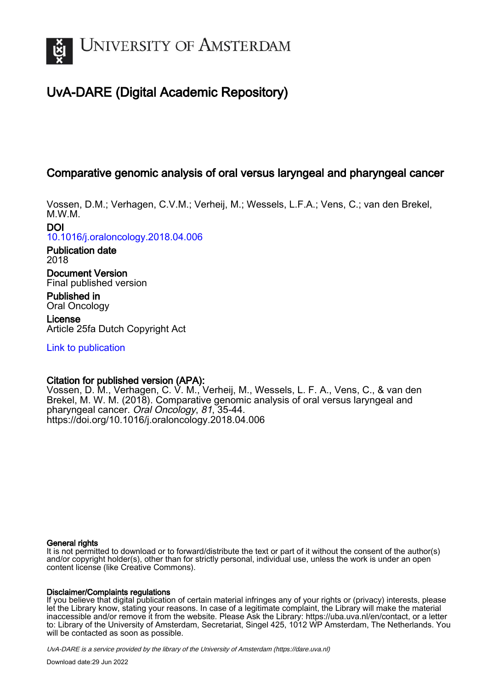

# UvA-DARE (Digital Academic Repository)

# Comparative genomic analysis of oral versus laryngeal and pharyngeal cancer

Vossen, D.M.; Verhagen, C.V.M.; Verheij, M.; Wessels, L.F.A.; Vens, C.; van den Brekel, M.W.M.

DOI

[10.1016/j.oraloncology.2018.04.006](https://doi.org/10.1016/j.oraloncology.2018.04.006)

Publication date 2018

Document Version Final published version

Published in Oral Oncology

License Article 25fa Dutch Copyright Act

[Link to publication](https://dare.uva.nl/personal/pure/en/publications/comparative-genomic-analysis-of-oral-versus-laryngeal-and-pharyngeal-cancer(30aaf1fa-9634-489d-9893-0a81b3eaf551).html)

# Citation for published version (APA):

Vossen, D. M., Verhagen, C. V. M., Verheij, M., Wessels, L. F. A., Vens, C., & van den Brekel, M. W. M. (2018). Comparative genomic analysis of oral versus laryngeal and pharyngeal cancer. Oral Oncology, 81, 35-44. <https://doi.org/10.1016/j.oraloncology.2018.04.006>

# General rights

It is not permitted to download or to forward/distribute the text or part of it without the consent of the author(s) and/or copyright holder(s), other than for strictly personal, individual use, unless the work is under an open content license (like Creative Commons).

# Disclaimer/Complaints regulations

If you believe that digital publication of certain material infringes any of your rights or (privacy) interests, please let the Library know, stating your reasons. In case of a legitimate complaint, the Library will make the material inaccessible and/or remove it from the website. Please Ask the Library: https://uba.uva.nl/en/contact, or a letter to: Library of the University of Amsterdam, Secretariat, Singel 425, 1012 WP Amsterdam, The Netherlands. You will be contacted as soon as possible.

UvA-DARE is a service provided by the library of the University of Amsterdam (http*s*://dare.uva.nl)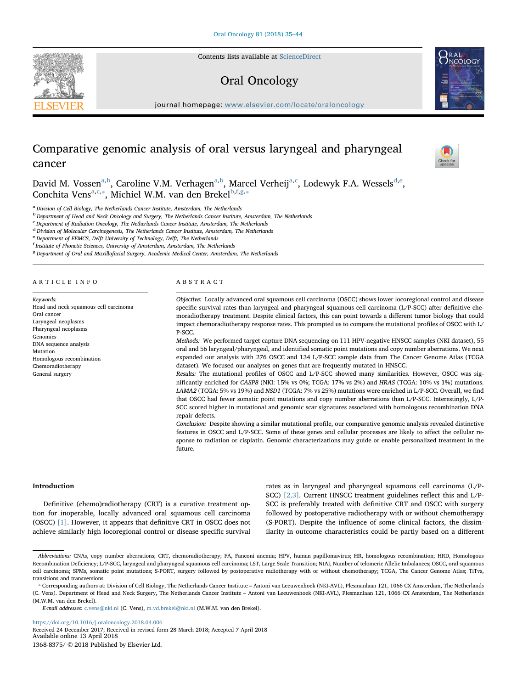Contents lists available at [ScienceDirect](http://www.sciencedirect.com/science/journal/13688375)

# Oral Oncology

journal homepage: [www.elsevier.com/locate/oraloncology](https://www.elsevier.com/locate/oraloncology)

# Comparative genomic analysis of oral versus laryngeal and pharyngeal cancer

David M. Vossen<sup>[a,](#page-1-0)[b](#page-1-1)</sup>, C[a](#page-1-0)roline V.M. Verhagen<sup>a[,b](#page-1-1)</sup>, Mar[c](#page-1-2)el Verheij<sup>a,c</sup>, Lo[d](#page-1-3)ewyk F.A. Wessels<sup>d[,e](#page-1-4)</sup>, Conchit[a](#page-1-0) Vens<sup>a[,c,](#page-1-2)\*</sup>, Michiel W.M. van den Brekel<sup>[b,](#page-1-1)[f,](#page-1-6)[g,](#page-1-7)\*</sup>

<span id="page-1-0"></span><sup>a</sup> Division of Cell Biology, The Netherlands Cancer Institute, Amsterdam, The Netherlands

<span id="page-1-1"></span><sup>b</sup> Department of Head and Neck Oncology and Surgery, The Netherlands Cancer Institute, Amsterdam, The Netherlands

<span id="page-1-2"></span>c Department of Radiation Oncology, The Netherlands Cancer Institute, Amsterdam, The Netherlands

<span id="page-1-3"></span><sup>d</sup> Division of Molecular Carcinogenesis, The Netherlands Cancer Institute, Amsterdam, The Netherlands

<span id="page-1-4"></span>e Department of EEMCS, Delft University of Technology, Delft, The Netherlands

<span id="page-1-6"></span>f Institute of Phonetic Sciences, University of Amsterdam, Amsterdam, The Netherlands

<span id="page-1-7"></span><sup>8</sup> Department of Oral and Maxillofacial Surgery, Academic Medical Center, Amsterdam, The Netherlands

# ARTICLE INFO

Keywords: Head and neck squamous cell carcinoma Oral cancer Laryngeal neoplasms Pharyngeal neoplasms Genomics DNA sequence analysis Mutation Homologous recombination Chemoradiotherapy General surgery

#### ABSTRACT

Objective: Locally advanced oral squamous cell carcinoma (OSCC) shows lower locoregional control and disease specific survival rates than laryngeal and pharyngeal squamous cell carcinoma (L/P-SCC) after definitive chemoradiotherapy treatment. Despite clinical factors, this can point towards a different tumor biology that could impact chemoradiotherapy response rates. This prompted us to compare the mutational profiles of OSCC with L/ P-SCC.

Methods: We performed target capture DNA sequencing on 111 HPV-negative HNSCC samples (NKI dataset), 55 oral and 56 laryngeal/pharyngeal, and identified somatic point mutations and copy number aberrations. We next expanded our analysis with 276 OSCC and 134 L/P-SCC sample data from The Cancer Genome Atlas (TCGA dataset). We focused our analyses on genes that are frequently mutated in HNSCC.

Results: The mutational profiles of OSCC and L/P-SCC showed many similarities. However, OSCC was significantly enriched for CASP8 (NKI: 15% vs 0%; TCGA: 17% vs 2%) and HRAS (TCGA: 10% vs 1%) mutations. LAMA2 (TCGA: 5% vs 19%) and NSD1 (TCGA: 7% vs 25%) mutations were enriched in L/P-SCC. Overall, we find that OSCC had fewer somatic point mutations and copy number aberrations than L/P-SCC. Interestingly, L/P-SCC scored higher in mutational and genomic scar signatures associated with homologous recombination DNA repair defects.

Conclusion: Despite showing a similar mutational profile, our comparative genomic analysis revealed distinctive features in OSCC and L/P-SCC. Some of these genes and cellular processes are likely to affect the cellular response to radiation or cisplatin. Genomic characterizations may guide or enable personalized treatment in the future.

#### Introduction

Definitive (chemo)radiotherapy (CRT) is a curative treatment option for inoperable, locally advanced oral squamous cell carcinoma (OSCC) [\[1\]](#page-9-0). However, it appears that definitive CRT in OSCC does not achieve similarly high locoregional control or disease specific survival rates as in laryngeal and pharyngeal squamous cell carcinoma (L/P-SCC) [\[2,3\].](#page-9-1) Current HNSCC treatment guidelines reflect this and L/P-SCC is preferably treated with definitive CRT and OSCC with surgery followed by postoperative radiotherapy with or without chemotherapy (S-PORT). Despite the influence of some clinical factors, the dissimilarity in outcome characteristics could be partly based on a different

<https://doi.org/10.1016/j.oraloncology.2018.04.006>

Received 24 December 2017; Received in revised form 28 March 2018; Accepted 7 April 2018 Available online 13 April 2018 1368-8375/ © 2018 Published by Elsevier Ltd.







Abbreviations: CNAs, copy number aberrations; CRT, chemoradiotherapy; FA, Fanconi anemia; HPV, human papillomavirus; HR, homologous recombination; HRD, Homologous Recombination Deficiency; L/P-SCC, laryngeal and pharyngeal squamous cell carcinoma; LST, Large Scale Transition; NtAI, Number of telomeric Allelic Imbalances; OSCC, oral squamous cell carcinoma; SPMs, somatic point mutations; S-PORT, surgery followed by postoperative radiotherapy with or without chemotherapy; TCGA, The Cancer Genome Atlas; TiTvs, transitions and transversions

<span id="page-1-5"></span><sup>⁎</sup> Corresponding authors at: Division of Cell Biology, The Netherlands Cancer Institute – Antoni van Leeuwenhoek (NKI-AVL), Plesmanlaan 121, 1066 CX Amsterdam, The Netherlands (C. Vens). Department of Head and Neck Surgery, The Netherlands Cancer Institute – Antoni van Leeuwenhoek (NKI-AVL), Plesmanlaan 121, 1066 CX Amsterdam, The Netherlands (M.W.M. van den Brekel).

E-mail addresses: [c.vens@nki.nl](mailto:c.vens@nki.nl) (C. Vens), [m.vd.brekel@nki.nl](mailto:m.vd.brekel@nki.nl) (M.W.M. van den Brekel).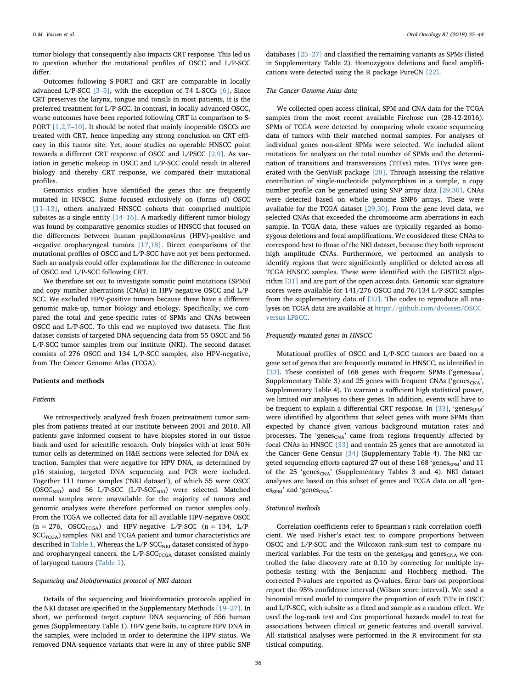tumor biology that consequently also impacts CRT response. This led us to question whether the mutational profiles of OSCC and L/P-SCC differ.

Outcomes following S-PORT and CRT are comparable in locally advanced L/P-SCC [3–[5\],](#page-9-2) with the exception of T4 L-SCCs [\[6\]](#page-9-3). Since CRT preserves the larynx, tongue and tonsils in most patients, it is the preferred treatment for L/P-SCC. In contrast, in locally advanced OSCC, worse outcomes have been reported following CRT in comparison to S-PORT [\[1,2,7](#page-9-0)–10]. It should be noted that mainly inoperable OSCCs are treated with CRT, hence impeding any strong conclusion on CRT efficacy in this tumor site. Yet, some studies on operable HNSCC point towards a different CRT response of OSCC and L/PSCC [\[2,9\].](#page-9-1) As variation in genetic makeup in OSCC and L/P-SCC could result in altered biology and thereby CRT response, we compared their mutational profiles.

Genomics studies have identified the genes that are frequently mutated in HNSCC. Some focused exclusively on (forms of) OSCC [11–[13\]](#page-9-4), others analyzed HNSCC cohorts that comprised multiple subsites as a single entity [14–[16\]](#page-9-5). A markedly different tumor biology was found by comparative genomics studies of HNSCC that focused on the differences between human papillomavirus (HPV)-positive and -negative oropharyngeal tumors [\[17,18\].](#page-10-0) Direct comparisons of the mutational profiles of OSCC and L/P-SCC have not yet been performed. Such an analysis could offer explanations for the difference in outcome of OSCC and L/P-SCC following CRT.

We therefore set out to investigate somatic point mutations (SPMs) and copy number aberrations (CNAs) in HPV-negative OSCC and L/P-SCC. We excluded HPV-positive tumors because these have a different genomic make-up, tumor biology and etiology. Specifically, we compared the total and gene-specific rates of SPMs and CNAs between OSCC and L/P-SCC. To this end we employed two datasets. The first dataset consists of targeted DNA sequencing data from 55 OSCC and 56 L/P-SCC tumor samples from our institute (NKI). The second dataset consists of 276 OSCC and 134 L/P-SCC samples, also HPV-negative, from The Cancer Genome Atlas (TCGA).

# Patients and methods

# Patients

We retrospectively analyzed fresh frozen pretreatment tumor samples from patients treated at our institute between 2001 and 2010. All patients gave informed consent to have biopsies stored in our tissue bank and used for scientific research. Only biopsies with at least 50% tumor cells as determined on H&E sections were selected for DNA extraction. Samples that were negative for HPV DNA, as determined by p16 staining, targeted DNA sequencing and PCR were included. Together 111 tumor samples ('NKI dataset'), of which 55 were OSCC (OSCC<sub>NKI</sub>) and 56 L/P-SCC (L/P-SCC<sub>NKI</sub>) were selected. Matched normal samples were unavailable for the majority of tumors and genomic analyses were therefore performed on tumor samples only. From the TCGA we collected data for all available HPV-negative OSCC  $(n = 276, \text{ OSC}_{TCGA})$  and HPV-negative L/P-SCC  $(n = 134, \text{ L/P}$ - $SCC<sub>TCGA</sub>$ ) samples. NKI and TCGA patient and tumor characteristics are described in [Table 1.](#page-3-0) Whereas the L/P-SCC<sub>NKI</sub> dataset consisted of hypoand oropharyngeal cancers, the  $L/P\text{-}SCC_{TCGA}$  dataset consisted mainly of laryngeal tumors ([Table 1\)](#page-3-0).

# Sequencing and bioinformatics protocol of NKI dataset

Details of the sequencing and bioinformatics protocols applied in the NKI dataset are specified in the Supplementary Methods [19–[27\]](#page-10-1). In short, we performed target capture DNA sequencing of 556 human genes (Supplementary Table 1). HPV gene baits, to capture HPV DNA in the samples, were included in order to determine the HPV status. We removed DNA sequence variants that were in any of three public SNP

databases [\[25](#page-10-2)–27] and classified the remaining variants as SPMs (listed in Supplementary Table 2). Homozygous deletions and focal amplifications were detected using the R package PureCN [\[22\]](#page-10-3).

#### The Cancer Genome Atlas data

We collected open access clinical, SPM and CNA data for the TCGA samples from the most recent available Firehose run (28-12-2016). SPMs of TCGA were detected by comparing whole exome sequencing data of tumors with their matched normal samples. For analyses of individual genes non-silent SPMs were selected. We included silent mutations for analyses on the total number of SPMs and the determination of transitions and transversions (TiTvs) rates. TiTvs were generated with the GenVisR package [\[28\]](#page-10-4). Through assessing the relative contribution of single-nucleotide polymorphism in a sample, a copy number profile can be generated using SNP array data [\[29,30\]](#page-10-5). CNAs were detected based on whole genome SNP6 arrays. These were available for the TCGA dataset [\[29,30\]](#page-10-5). From the gene level data, we selected CNAs that exceeded the chromosome arm aberrations in each sample. In TCGA data, these values are typically regarded as homozygous deletions and focal amplifications. We considered these CNAs to correspond best to those of the NKI dataset, because they both represent high amplitude CNAs. Furthermore, we performed an analysis to identify regions that were significantly amplified or deleted across all TCGA HNSCC samples. These were identified with the GISTIC2 algorithm [\[31\]](#page-10-6) and are part of the open access data. Genomic scar signature scores were available for 141/276 OSCC and 76/134 L/P-SCC samples from the supplementary data of [\[32\].](#page-10-7) The codes to reproduce all analyses on TCGA data are available at [https://github.com/dvossen/OSCC](https://github.com/dvossen/OSCC-versus-LPSCC)[versus-LPSCC](https://github.com/dvossen/OSCC-versus-LPSCC).

# Frequently mutated genes in HNSCC

Mutational profiles of OSCC and L/P-SCC tumors are based on a gene set of genes that are frequently mutated in HNSCC, as identified in [\[33\]](#page-10-8). These consisted of 168 genes with frequent SPMs ('genes<sub>SPM</sub>', Supplementary Table 3) and 25 genes with frequent CNAs ('genes<sub>CNA</sub>', Supplementary Table 4). To warrant a sufficient high statistical power, we limited our analyses to these genes. In addition, events will have to be frequent to explain a differential CRT response. In  $[33]$ , 'genes<sub>SPM</sub>' were identified by algorithms that select genes with more SPMs than expected by chance given various background mutation rates and processes. The 'genes<sub>CNA</sub>' came from regions frequently affected by focal CNAs in HNSCC [\[33\]](#page-10-8) and contain 25 genes that are annotated in the Cancer Gene Census [\[34\]](#page-10-9) (Supplementary Table 4). The NKI targeted sequencing efforts captured 27 out of these 168 'genes<sub>SPM</sub>' and 11 of the 25 'genes<sub>CNA</sub>' (Supplementary Tables 3 and 4). NKI dataset analyses are based on this subset of genes and TCGA data on all 'gen- $\text{es}_{\text{SPM}}'$  and 'genes<sub>CNA</sub>'.

# Statistical methods

Correlation coefficients refer to Spearman's rank correlation coefficient. We used Fisher's exact test to compare proportions between OSCC and L/P-SCC and the Wilcoxon rank-sum test to compare numerical variables. For the tests on the genes<sub>SPM</sub> and genes<sub>CNA</sub> we controlled the false discovery rate at 0.10 by correcting for multiple hypothesis testing with the Benjamini and Hochberg method. The corrected P-values are reported as Q-values. Error bars on proportions report the 95% confidence interval (Wilson score interval). We used a binomial mixed model to compare the proportion of each TiTv in OSCC and L/P-SCC, with subsite as a fixed and sample as a random effect. We used the log-rank test and Cox proportional hazards model to test for associations between clinical or genetic features and overall survival. All statistical analyses were performed in the R environment for statistical computing.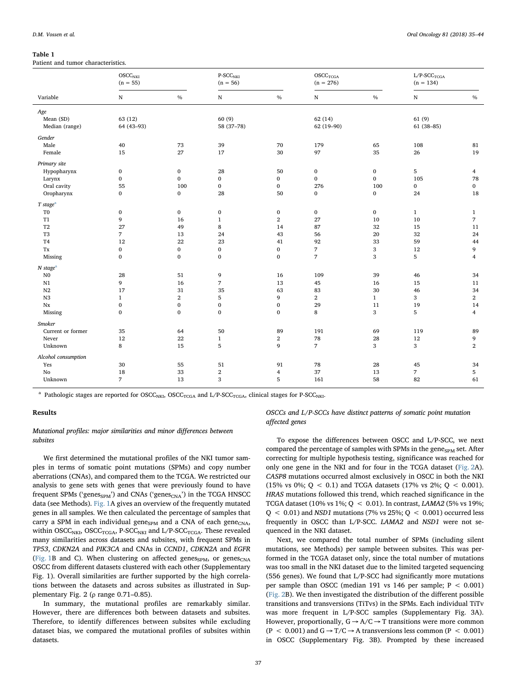#### <span id="page-3-0"></span>Table 1

Patient and tumor characteristics.

|                        | OSCC <sub>NKI</sub><br>$(n = 55)$ |                  | P-SCC <sub>NKI</sub><br>$(n = 56)$ |                  | OSCC <sub>TCGA</sub><br>$(n = 276)$ |                  | $\rm L/P\text{-}SCC_{TCGA}$<br>$(n = 134)$ |                |
|------------------------|-----------------------------------|------------------|------------------------------------|------------------|-------------------------------------|------------------|--------------------------------------------|----------------|
| Variable               | ${\bf N}$                         | $\%$             | ${\bf N}$                          | $\%$             | $\mathbf N$                         | $\%$             | ${\bf N}$                                  | $\%$           |
| Age                    |                                   |                  |                                    |                  |                                     |                  |                                            |                |
| Mean (SD)              | 63 (12)                           |                  | 60(9)                              |                  | 62(14)                              |                  | 61(9)                                      |                |
| Median (range)         | 64 (43-93)                        |                  | 58 (37-78)                         |                  | 62 (19-90)                          |                  | $61(38 - 85)$                              |                |
| Gender                 |                                   |                  |                                    |                  |                                     |                  |                                            |                |
| Male                   | 40                                | 73               | 39                                 | 70               | 179                                 | 65               | 108                                        | 81             |
| Female                 | 15                                | 27               | 17                                 | 30               | 97                                  | 35               | 26                                         | 19             |
| Primary site           |                                   |                  |                                    |                  |                                     |                  |                                            |                |
| Hypopharynx            | $\boldsymbol{0}$                  | $\boldsymbol{0}$ | 28                                 | 50               | $\bf{0}$                            | $\boldsymbol{0}$ | $\sqrt{5}$                                 | $\overline{4}$ |
| Larynx                 | $\bf{0}$                          | $\bf{0}$         | $\mathbf{0}$                       | $\boldsymbol{0}$ | $\bf{0}$                            | $\boldsymbol{0}$ | 105                                        | 78             |
| Oral cavity            | 55                                | 100              | $\bf{0}$                           | $\boldsymbol{0}$ | 276                                 | 100              | $\bf{0}$                                   | $\mathbf{0}$   |
| Oropharynx             | $\bf{0}$                          | $\bf{0}$         | 28                                 | 50               | $\mathbf{0}$                        | $\bf{0}$         | 24                                         | 18             |
| T stage <sup>a</sup>   |                                   |                  |                                    |                  |                                     |                  |                                            |                |
| T <sub>0</sub>         | $\pmb{0}$                         | $\bf{0}$         | $\boldsymbol{0}$                   | $\pmb{0}$        | $\bf{0}$                            | $\boldsymbol{0}$ | $\mathbf{1}$                               | $\mathbf{1}$   |
| T1                     | 9                                 | 16               | $\mathbf{1}$                       | $\,2$            | 27                                  | 10               | 10                                         | $\overline{7}$ |
| $\operatorname{T2}$    | 27                                | 49               | 8                                  | 14               | 87                                  | 32               | 15                                         | 11             |
| T <sub>3</sub>         | $\overline{7}$                    | 13               | 24                                 | 43               | 56                                  | 20               | 32                                         | 24             |
| T <sub>4</sub>         | 12                                | 22               | 23                                 | 41               | 92                                  | 33               | 59                                         | 44             |
| $\mathbf{T}\mathbf{x}$ | $\bf{0}$                          | $\boldsymbol{0}$ | $\boldsymbol{0}$                   | $\pmb{0}$        | $\boldsymbol{7}$                    | 3                | 12                                         | 9              |
| Missing                | $\bf{0}$                          | $\bf{0}$         | $\bf{0}$                           | $\boldsymbol{0}$ | $\overline{7}$                      | 3                | 5                                          | $\overline{4}$ |
| $N$ stage <sup>a</sup> |                                   |                  |                                    |                  |                                     |                  |                                            |                |
| $_{\rm N0}$            | 28                                | 51               | 9                                  | 16               | 109                                 | 39               | 46                                         | 34             |
| N1                     | 9                                 | 16               | $\boldsymbol{7}$                   | 13               | 45                                  | 16               | 15                                         | 11             |
| $_{\rm N2}$            | 17                                | 31               | 35                                 | 63               | 83                                  | $30\,$           | 46                                         | 34             |
| $_{\rm N3}$            | $\mathbf{1}$                      | $\,2$            | $\mathbf 5$                        | 9                | $\mathbf{2}$                        | $1\,$            | 3                                          | $\mathbf{2}$   |
| $_{\rm Nx}$            | $\pmb{0}$                         | $\boldsymbol{0}$ | $\boldsymbol{0}$                   | $\boldsymbol{0}$ | 29                                  | 11               | 19                                         | 14             |
| Missing                | $\bf{0}$                          | $\bf{0}$         | $\bf{0}$                           | $\boldsymbol{0}$ | 8                                   | 3                | 5                                          | $\overline{4}$ |
| <b>Smoker</b>          |                                   |                  |                                    |                  |                                     |                  |                                            |                |
| Current or former      | 35                                | 64               | 50                                 | 89               | 191                                 | 69               | 119                                        | 89             |
| Never                  | 12                                | 22               | $\mathbf{1}$                       | $\,2$            | 78                                  | 28               | 12                                         | 9              |
| Unknown                | 8                                 | 15               | 5                                  | 9                | $\overline{7}$                      | 3                | 3                                          | $\overline{2}$ |
| Alcohol consumption    |                                   |                  |                                    |                  |                                     |                  |                                            |                |
| Yes                    | 30                                | 55               | 51                                 | 91               | 78                                  | 28               | 45                                         | 34             |
| No                     | 18                                | 33               | $\mathbf{2}$                       | $\overline{4}$   | 37                                  | 13               | $\overline{7}$                             | 5              |
| Unknown                | $\overline{7}$                    | 13               | 3                                  | 5                | 161                                 | 58               | 82                                         | 61             |
|                        |                                   |                  |                                    |                  |                                     |                  |                                            |                |

<span id="page-3-1"></span><sup>a</sup> Pathologic stages are reported for OSCC<sub>NKI</sub>, OSCC<sub>TCGA</sub> and L/P-SCC<sub>TCGA</sub>, clinical stages for P-SCC<sub>NKI</sub>.

### Results

# Mutational profiles: major similarities and minor differences between subsites

We first determined the mutational profiles of the NKI tumor samples in terms of somatic point mutations (SPMs) and copy number aberrations (CNAs), and compared them to the TCGA. We restricted our analysis to gene sets with genes that were previously found to have frequent SPMs ('genes $_{SPM}$ ') and CNAs ('genes $_{CNA}$ ') in the TCGA HNSCC data (see Methods). [Fig. 1](#page-4-0)A gives an overview of the frequently mutated genes in all samples. We then calculated the percentage of samples that carry a SPM in each individual gene $_{\text{SPM}}$  and a CNA of each gene $_{\text{CNA}}$ , within  $OSCC<sub>NKI</sub>$ ,  $OSCC<sub>TCGA</sub>$ ,  $P-SCC<sub>NKI</sub>$  and  $L/P-SCC<sub>TCGA</sub>$ . These revealed many similarities across datasets and subsites, with frequent SPMs in TP53, CDKN2A and PIK3CA and CNAs in CCND1, CDKN2A and EGFR ([Fig. 1B](#page-4-0) and C). When clustering on affected genes<sub>SPM</sub>, or genes<sub>CNA</sub> OSCC from different datasets clustered with each other (Supplementary Fig. 1). Overall similarities are further supported by the high correlations between the datasets and across subsites as illustrated in Supplementary Fig. 2 (ρ range 0.71–0.85).

In summary, the mutational profiles are remarkably similar. However, there are differences both between datasets and subsites. Therefore, to identify differences between subsites while excluding dataset bias, we compared the mutational profiles of subsites within datasets.

# OSCCs and L/P-SCCs have distinct patterns of somatic point mutation affected genes

To expose the differences between OSCC and L/P-SCC, we next compared the percentage of samples with SPMs in the gene<sub>SPM</sub> set. After correcting for multiple hypothesis testing, significance was reached for only one gene in the NKI and for four in the TCGA dataset ([Fig. 2](#page-5-0)A). CASP8 mutations occurred almost exclusively in OSCC in both the NKI (15% vs 0%; Q < 0.1) and TCGA datasets (17% vs 2%; Q < 0.001). HRAS mutations followed this trend, which reached significance in the TCGA dataset (10% vs 1%; Q < 0.01). In contrast, LAMA2 (5% vs 19%;  $Q < 0.01$ ) and NSD1 mutations (7% vs 25%;  $Q < 0.001$ ) occurred less frequently in OSCC than L/P-SCC. LAMA2 and NSD1 were not sequenced in the NKI dataset.

Next, we compared the total number of SPMs (including silent mutations, see Methods) per sample between subsites. This was performed in the TCGA dataset only, since the total number of mutations was too small in the NKI dataset due to the limited targeted sequencing (556 genes). We found that L/P-SCC had significantly more mutations per sample than OSCC (median 191 vs 146 per sample; P < 0.001) ([Fig. 2B](#page-5-0)). We then investigated the distribution of the different possible transitions and transversions (TiTvs) in the SPMs. Each individual TiTv was more frequent in L/P-SCC samples (Supplementary Fig. 3A). However, proportionally,  $G \rightarrow A/C \rightarrow T$  transitions were more common (P < 0.001) and G  $\rightarrow$  T/C  $\rightarrow$  A transversions less common (P < 0.001) in OSCC (Supplementary Fig. 3B). Prompted by these increased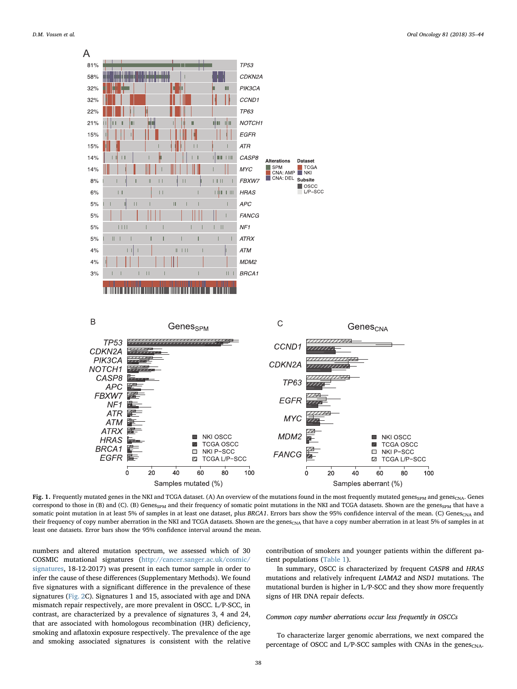<span id="page-4-0"></span>

Fig. 1. Frequently mutated genes in the NKI and TCGA dataset. (A) An overview of the mutations found in the most frequently mutated genes<sub>SPM</sub> and genes<sub>CNA</sub>. Genes correspond to those in (B) and (C). (B) Genes<sub>SPM</sub> and their frequency of somatic point mutations in the NKI and TCGA datasets. Shown are the genes<sub>SPM</sub> that have a somatic point mutation in at least 5% of samples in at least one dataset, plus BRCA1. Errors bars show the 95% confidence interval of the mean. (C) Genes<sub>CNA</sub> and their frequency of copy number aberration in the NKI and TCGA datasets. Shown are the genes<sub>CNA</sub> that have a copy number aberration in at least 5% of samples in at least one datasets. Error bars show the 95% confidence interval around the mean.

numbers and altered mutation spectrum, we assessed which of 30 COSMIC mutational signatures ([http://cancer.sanger.ac.uk/cosmic/](http://cancer.sanger.ac.uk/cosmic/signatures) [signatures](http://cancer.sanger.ac.uk/cosmic/signatures), 18-12-2017) was present in each tumor sample in order to infer the cause of these differences (Supplementary Methods). We found five signatures with a significant difference in the prevalence of these signatures ([Fig. 2C](#page-5-0)). Signatures 1 and 15, associated with age and DNA mismatch repair respectively, are more prevalent in OSCC. L/P-SCC, in contrast, are characterized by a prevalence of signatures 3, 4 and 24, that are associated with homologous recombination (HR) deficiency, smoking and aflatoxin exposure respectively. The prevalence of the age and smoking associated signatures is consistent with the relative contribution of smokers and younger patients within the different patient populations ([Table 1](#page-3-0)).

In summary, OSCC is characterized by frequent CASP8 and HRAS mutations and relatively infrequent LAMA2 and NSD1 mutations. The mutational burden is higher in L/P-SCC and they show more frequently signs of HR DNA repair defects.

# Common copy number aberrations occur less frequently in OSCCs

To characterize larger genomic aberrations, we next compared the percentage of OSCC and L/P-SCC samples with CNAs in the genes $_{\text{CNA}}$ .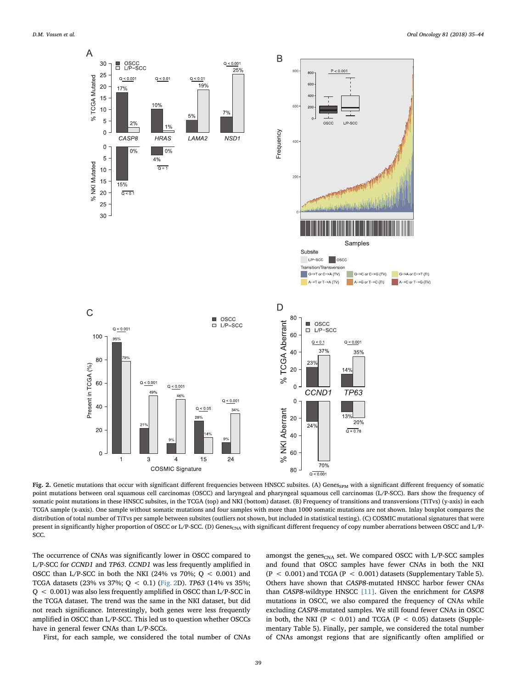<span id="page-5-0"></span>

Fig. 2. Genetic mutations that occur with significant different frequencies between HNSCC subsites. (A) Genes<sub>SPM</sub> with a significant different frequency of somatic point mutations between oral squamous cell carcinomas (OSCC) and laryngeal and pharyngeal squamous cell carcinomas (L/P-SCC). Bars show the frequency of somatic point mutations in these HNSCC subsites, in the TCGA (top) and NKI (bottom) dataset. (B) Frequency of transitions and transversions (TiTvs) (y-axis) in each TCGA sample (x-axis). One sample without somatic mutations and four samples with more than 1000 somatic mutations are not shown. Inlay boxplot compares the distribution of total number of TiTvs per sample between subsites (outliers not shown, but included in statistical testing). (C) COSMIC mutational signatures that were present in significantly higher proportion of OSCC or L/P-SCC. (D) Genes<sub>CNA</sub> with significant different frequency of copy number aberrations between OSCC and L/P-SCC.

The occurrence of CNAs was significantly lower in OSCC compared to L/P-SCC for CCND1 and TP63. CCND1 was less frequently amplified in OSCC than L/P-SCC in both the NKI (24% vs 70%;  $Q < 0.001$ ) and TCGA datasets (23% vs 37%; Q < 0.1) [\(Fig. 2](#page-5-0)D). TP63 (14% vs 35%; Q < 0.001) was also less frequently amplified in OSCC than L/P-SCC in the TCGA dataset. The trend was the same in the NKI dataset, but did not reach significance. Interestingly, both genes were less frequently amplified in OSCC than L/P-SCC. This led us to question whether OSCCs have in general fewer CNAs than L/P-SCCs.

First, for each sample, we considered the total number of CNAs

amongst the genes<sub>CNA</sub> set. We compared OSCC with L/P-SCC samples and found that OSCC samples have fewer CNAs in both the NKI  $(P < 0.001)$  and TCGA ( $P < 0.001$ ) datasets (Supplementary Table 5). Others have shown that CASP8-mutated HNSCC harbor fewer CNAs than CASP8-wildtype HNSCC [\[11\].](#page-9-4) Given the enrichment for CASP8 mutations in OSCC, we also compared the frequency of CNAs while excluding CASP8-mutated samples. We still found fewer CNAs in OSCC in both, the NKI ( $P < 0.01$ ) and TCGA ( $P < 0.05$ ) datasets (Supplementary Table 5). Finally, per sample, we considered the total number of CNAs amongst regions that are significantly often amplified or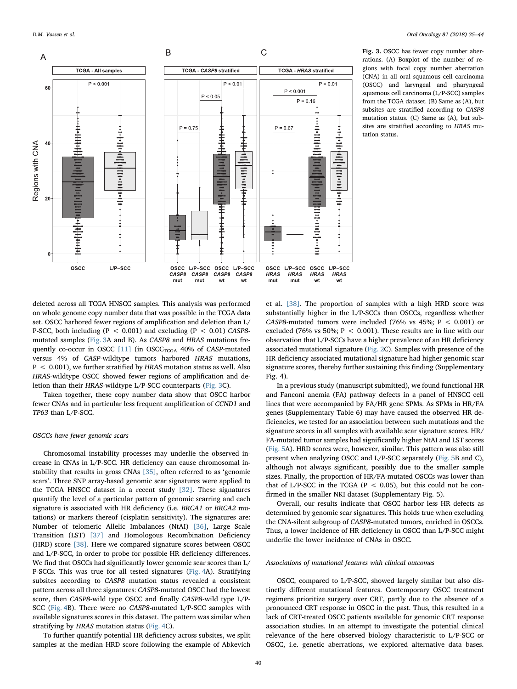<span id="page-6-0"></span>

Fig. 3. OSCC has fewer copy number aberrations. (A) Boxplot of the number of regions with focal copy number aberration (CNA) in all oral squamous cell carcinoma (OSCC) and laryngeal and pharyngeal squamous cell carcinoma (L/P-SCC) samples from the TCGA dataset. (B) Same as (A), but subsites are stratified according to CASP8 mutation status. (C) Same as (A), but subsites are stratified according to HRAS mutation status.

deleted across all TCGA HNSCC samples. This analysis was performed on whole genome copy number data that was possible in the TCGA data set. OSCC harbored fewer regions of amplification and deletion than L/ P-SCC, both including ( $P < 0.001$ ) and excluding ( $P < 0.01$ ) CASP8mutated samples ([Fig. 3A](#page-6-0) and B). As CASP8 and HRAS mutations frequently co-occur in OSCC  $[11]$  (in OSCC<sub>TCGA</sub> 40% of CASP-mutated versus 4% of CASP-wildtype tumors harbored HRAS mutations,  $P < 0.001$ ), we further stratified by HRAS mutation status as well. Also HRAS-wildtype OSCC showed fewer regions of amplification and deletion than their HRAS-wildtype L/P-SCC counterparts ([Fig. 3](#page-6-0)C).

Taken together, these copy number data show that OSCC harbor fewer CNAs and in particular less frequent amplification of CCND1 and TP63 than L/P-SCC.

#### OSCCs have fewer genomic scars

Chromosomal instability processes may underlie the observed increase in CNAs in L/P-SCC. HR deficiency can cause chromosomal instability that results in gross CNAs [\[35\]](#page-10-10), often referred to as 'genomic scars'. Three SNP array-based genomic scar signatures were applied to the TCGA HNSCC dataset in a recent study [\[32\].](#page-10-7) These signatures quantify the level of a particular pattern of genomic scarring and each signature is associated with HR deficiency (i.e. BRCA1 or BRCA2 mutations) or markers thereof (cisplatin sensitivity). The signatures are: Number of telomeric Allelic Imbalances (NtAI) [\[36\]](#page-10-11), Large Scale Transition (LST) [\[37\]](#page-10-12) and Homologous Recombination Deficiency (HRD) score [\[38\]](#page-10-13). Here we compared signature scores between OSCC and L/P-SCC, in order to probe for possible HR deficiency differences. We find that OSCCs had significantly lower genomic scar scores than L/ P-SCCs. This was true for all tested signatures ([Fig. 4A](#page-7-0)). Stratifying subsites according to CASP8 mutation status revealed a consistent pattern across all three signatures: CASP8-mutated OSCC had the lowest score, then CASP8-wild type OSCC and finally CASP8-wild type L/P-SCC ([Fig. 4B](#page-7-0)). There were no CASP8-mutated L/P-SCC samples with available signatures scores in this dataset. The pattern was similar when stratifying by HRAS mutation status [\(Fig. 4C](#page-7-0)).

To further quantify potential HR deficiency across subsites, we split samples at the median HRD score following the example of Abkevich

et al. [\[38\].](#page-10-13) The proportion of samples with a high HRD score was substantially higher in the L/P-SCCs than OSCCs, regardless whether CASP8-mutated tumors were included (76% vs 45%;  $P < 0.001$ ) or excluded (76% vs 50%;  $P < 0.001$ ). These results are in line with our observation that L/P-SCCs have a higher prevalence of an HR deficiency associated mutational signature [\(Fig. 2C](#page-5-0)). Samples with presence of the HR deficiency associated mutational signature had higher genomic scar signature scores, thereby further sustaining this finding (Supplementary Fig. 4).

In a previous study (manuscript submitted), we found functional HR and Fanconi anemia (FA) pathway defects in a panel of HNSCC cell lines that were accompanied by FA/HR gene SPMs. As SPMs in HR/FA genes (Supplementary Table 6) may have caused the observed HR deficiencies, we tested for an association between such mutations and the signature scores in all samples with available scar signature scores. HR/ FA-mutated tumor samples had significantly higher NtAI and LST scores ([Fig. 5A](#page-7-1)). HRD scores were, however, similar. This pattern was also still present when analyzing OSCC and L/P-SCC separately [\(Fig. 5](#page-7-1)B and C), although not always significant, possibly due to the smaller sample sizes. Finally, the proportion of HR/FA-mutated OSCCs was lower than that of L/P-SCC in the TCGA (P < 0.05), but this could not be confirmed in the smaller NKI dataset (Supplementary Fig. 5).

Overall, our results indicate that OSCC harbor less HR defects as determined by genomic scar signatures. This holds true when excluding the CNA-silent subgroup of CASP8-mutated tumors, enriched in OSCCs. Thus, a lower incidence of HR deficiency in OSCC than L/P-SCC might underlie the lower incidence of CNAs in OSCC.

# Associations of mutational features with clinical outcomes

OSCC, compared to L/P-SCC, showed largely similar but also distinctly different mutational features. Contemporary OSCC treatment regimens prioritize surgery over CRT, partly due to the absence of a pronounced CRT response in OSCC in the past. Thus, this resulted in a lack of CRT-treated OSCC patients available for genomic CRT response association studies. In an attempt to investigate the potential clinical relevance of the here observed biology characteristic to L/P-SCC or OSCC, i.e. genetic aberrations, we explored alternative data bases.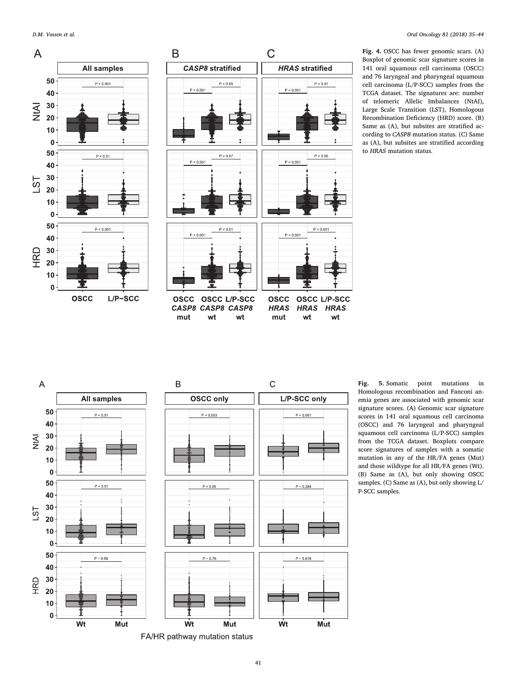<span id="page-7-0"></span>

Fig. 4. OSCC has fewer genomic scars. (A) Boxplot of genomic scar signature scores in 141 oral squamous cell carcinoma (OSCC) and 76 laryngeal and pharyngeal squamous cell carcinoma (L/P-SCC) samples from the TCGA dataset. The signatures are: number of telomeric Allelic Imbalances (NtAI), Large Scale Transition (LST), Homologous Recombination Deficiency (HRD) score. (B) Same as (A), but subsites are stratified according to CASP8 mutation status. (C) Same as (A), but subsites are stratified according to HRAS mutation status.

<span id="page-7-1"></span>

Fig. 5. Somatic point mutations in Homologous recombination and Fanconi anemia genes are associated with genomic scar signature scores. (A) Genomic scar signature scores in 141 oral squamous cell carcinoma (OSCC) and 76 laryngeal and pharyngeal squamous cell carcinoma (L/P-SCC) samples from the TCGA dataset. Boxplots compare score signatures of samples with a somatic mutation in any of the HR/FA genes (Mut) and those wildtype for all HR/FA genes (Wt). (B) Same as (A), but only showing OSCC samples. (C) Same as (A), but only showing L/ P-SCC samples.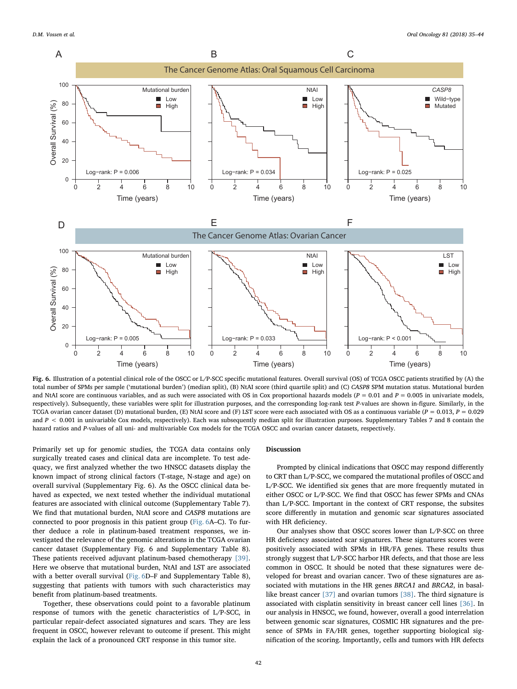<span id="page-8-0"></span>

Fig. 6. Illustration of a potential clinical role of the OSCC or L/P-SCC specific mutational features. Overall survival (OS) of TCGA OSCC patients stratified by (A) the total number of SPMs per sample ('mutational burden') (median split), (B) NtAI score (third quartile split) and (C) CASP8 SPM mutation status. Mutational burden and NtAI score are continuous variables, and as such were associated with OS in Cox proportional hazards models ( $P = 0.01$  and  $P = 0.005$  in univariate models, respectively). Subsequently, these variables were split for illustration purposes, and the corresponding log-rank test P-values are shown in-figure. Similarly, in the TCGA ovarian cancer dataset (D) mutational burden, (E) NtAI score and (F) LST score were each associated with OS as a continuous variable ( $P = 0.013$ ,  $P = 0.029$ and  $P < 0.001$  in univariable Cox models, respectively). Each was subsequently median split for illustration purposes. Supplementary Tables 7 and 8 contain the hazard ratios and P-values of all uni- and multivariable Cox models for the TCGA OSCC and ovarian cancer datasets, respectively.

Primarily set up for genomic studies, the TCGA data contains only surgically treated cases and clinical data are incomplete. To test adequacy, we first analyzed whether the two HNSCC datasets display the known impact of strong clinical factors (T-stage, N-stage and age) on overall survival (Supplementary Fig. 6). As the OSCC clinical data behaved as expected, we next tested whether the individual mutational features are associated with clinical outcome (Supplementary Table 7). We find that mutational burden, NtAI score and CASP8 mutations are connected to poor prognosis in this patient group [\(Fig. 6](#page-8-0)A–C). To further deduce a role in platinum-based treatment responses, we investigated the relevance of the genomic alterations in the TCGA ovarian cancer dataset (Supplementary Fig. 6 and Supplementary Table 8). These patients received adjuvant platinum-based chemotherapy [\[39\]](#page-10-14). Here we observe that mutational burden, NtAI and LST are associated with a better overall survival [\(Fig. 6D](#page-8-0)–F and Supplementary Table 8), suggesting that patients with tumors with such characteristics may benefit from platinum-based treatments.

Together, these observations could point to a favorable platinum response of tumors with the genetic characteristics of L/P-SCC, in particular repair-defect associated signatures and scars. They are less frequent in OSCC, however relevant to outcome if present. This might explain the lack of a pronounced CRT response in this tumor site.

#### Discussion

Prompted by clinical indications that OSCC may respond differently to CRT than L/P-SCC, we compared the mutational profiles of OSCC and L/P-SCC. We identified six genes that are more frequently mutated in either OSCC or L/P-SCC. We find that OSCC has fewer SPMs and CNAs than L/P-SCC. Important in the context of CRT response, the subsites score differently in mutation and genomic scar signatures associated with HR deficiency.

Our analyses show that OSCC scores lower than L/P-SCC on three HR deficiency associated scar signatures. These signatures scores were positively associated with SPMs in HR/FA genes. These results thus strongly suggest that L/P-SCC harbor HR defects, and that those are less common in OSCC. It should be noted that these signatures were developed for breast and ovarian cancer. Two of these signatures are associated with mutations in the HR genes BRCA1 and BRCA2, in basallike breast cancer [\[37\]](#page-10-12) and ovarian tumors [\[38\].](#page-10-13) The third signature is associated with cisplatin sensitivity in breast cancer cell lines [\[36\]](#page-10-11). In our analysis in HNSCC, we found, however, overall a good interrelation between genomic scar signatures, COSMIC HR signatures and the presence of SPMs in FA/HR genes, together supporting biological signification of the scoring. Importantly, cells and tumors with HR defects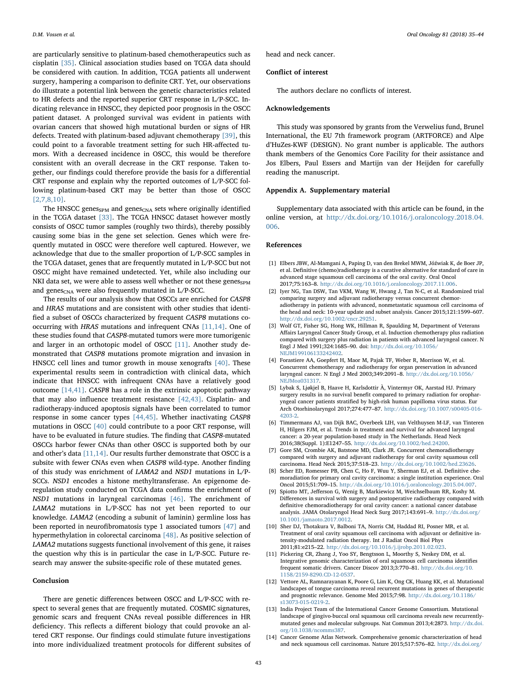are particularly sensitive to platinum-based chemotherapeutics such as cisplatin [\[35\].](#page-10-10) Clinical association studies based on TCGA data should be considered with caution. In addition, TCGA patients all underwent surgery, hampering a comparison to definite CRT. Yet, our observations do illustrate a potential link between the genetic characteristics related to HR defects and the reported superior CRT response in L/P-SCC. Indicating relevance in HNSCC, they depicted poor prognosis in the OSCC patient dataset. A prolonged survival was evident in patients with ovarian cancers that showed high mutational burden or signs of HR defects. Treated with platinum-based adjuvant chemotherapy [\[39\]](#page-10-14), this could point to a favorable treatment setting for such HR-affected tumors. With a decreased incidence in OSCC, this would be therefore consistent with an overall decrease in the CRT response. Taken together, our findings could therefore provide the basis for a differential CRT response and explain why the reported outcomes of L/P-SCC following platinum-based CRT may be better than those of OSCC [\[2,7,8,10\]](#page-9-1).

The HNSCC genes<sub>SPM</sub> and genes<sub>CNA</sub> sets where originally identified in the TCGA dataset [\[33\]](#page-10-8). The TCGA HNSCC dataset however mostly consists of OSCC tumor samples (roughly two thirds), thereby possibly causing some bias in the gene set selection. Genes which were frequently mutated in OSCC were therefore well captured. However, we acknowledge that due to the smaller proportion of L/P-SCC samples in the TCGA dataset, genes that are frequently mutated in L/P-SCC but not OSCC might have remained undetected. Yet, while also including our NKI data set, we were able to assess well whether or not these  $genes<sub>SPM</sub>$ and genes $_{\text{CNA}}$  were also frequently mutated in L/P-SCC.

The results of our analysis show that OSCCs are enriched for CASP8 and HRAS mutations and are consistent with other studies that identified a subset of OSCCs characterized by frequent CASP8 mutations cooccurring with HRAS mutations and infrequent CNAs [\[11,14\]](#page-9-4). One of these studies found that CASP8-mutated tumors were more tumorigenic and larger in an orthotopic model of OSCC [\[11\]](#page-9-4). Another study demonstrated that CASP8 mutations promote migration and invasion in HNSCC cell lines and tumor growth in mouse xenografts [\[40\].](#page-10-15) These experimental results seem in contradiction with clinical data, which indicate that HNSCC with infrequent CNAs have a relatively good outcome [\[14,41\].](#page-9-5) CASP8 has a role in the extrinsic apoptotic pathway that may also influence treatment resistance [\[42,43\]](#page-10-16). Cisplatin- and radiotherapy-induced apoptosis signals have been correlated to tumor response in some cancer types [\[44,45\].](#page-10-17) Whether inactivating CASP8 mutations in OSCC [\[40\]](#page-10-15) could contribute to a poor CRT response, will have to be evaluated in future studies. The finding that CASP8-mutated OSCCs harbor fewer CNAs than other OSCC is supported both by our and other's data [\[11,14\].](#page-9-4) Our results further demonstrate that OSCC is a subsite with fewer CNAs even when CASP8 wild-type. Another finding of this study was enrichment of LAMA2 and NSD1 mutations in L/P-SCCs. NSD1 encodes a histone methyltransferase. An epigenome deregulation study conducted on TCGA data confirms the enrichment of NSD1 mutations in laryngeal carcinomas [\[46\].](#page-10-18) The enrichment of LAMA2 mutations in L/P-SCC has not yet been reported to our knowledge. LAMA2 (encoding a subunit of laminin) germline loss has been reported in neurofibromatosis type 1 associated tumors [\[47\]](#page-10-19) and hypermethylation in colorectal carcinoma [\[48\]](#page-10-20). As positive selection of LAMA2 mutations suggests functional involvement of this gene, it raises the question why this is in particular the case in L/P-SCC. Future research may answer the subsite-specific role of these mutated genes.

# Conclusion

There are genetic differences between OSCC and L/P-SCC with respect to several genes that are frequently mutated. COSMIC signatures, genomic scars and frequent CNAs reveal possible differences in HR deficiency. This reflects a different biology that could provoke an altered CRT response. Our findings could stimulate future investigations into more individualized treatment protocols for different subsites of head and neck cancer.

# Conflict of interest

The authors declare no conflicts of interest.

#### Acknowledgements

This study was sponsored by grants from the Verwelius fund, Brunel International, the EU 7th framework program (ARTFORCE) and Alpe d'HuZes-KWF (DESIGN). No grant number is applicable. The authors thank members of the Genomics Core Facility for their assistance and Jos Elbers, Paul Essers and Martijn van der Heijden for carefully reading the manuscript.

# Appendix A. Supplementary material

Supplementary data associated with this article can be found, in the online version, at [http://dx.doi.org/10.1016/j.oraloncology.2018.04.](http://dx.doi.org/10.1016/j.oraloncology.2018.04.006) [006](http://dx.doi.org/10.1016/j.oraloncology.2018.04.006).

#### References

- <span id="page-9-0"></span>[1] Elbers JBW, Al-Mamgani A, Paping D, van den Brekel MWM, Jóźwiak K, de Boer JP, et al. Definitive (chemo)radiotherapy is a curative alternative for standard of care in advanced stage squamous cell carcinoma of the oral cavity. Oral Oncol 2017;75:163–8. [http://dx.doi.org/10.1016/j.oraloncology.2017.11.006.](http://dx.doi.org/10.1016/j.oraloncology.2017.11.006)
- <span id="page-9-1"></span>[2] Iyer NG, Tan DSW, Tan VKM, Wang W, Hwang J, Tan N-C, et al. Randomized trial comparing surgery and adjuvant radiotherapy versus concurrent chemoradiotherapy in patients with advanced, nonmetastatic squamous cell carcinoma of the head and neck: 10-year update and subset analysis. Cancer 2015;121:1599–607. [http://dx.doi.org/10.1002/cncr.29251.](http://dx.doi.org/10.1002/cncr.29251)
- <span id="page-9-2"></span>[3] Wolf GT, Fisher SG, Hong WK, Hillman R, Spaulding M, Department of Veterans Affairs Laryngeal Cancer Study Group, et al. Induction chemotherapy plus radiation compared with surgery plus radiation in patients with advanced laryngeal cancer. N Engl J Med 1991;324:1685–90. doi: [http://dx.doi.org/10.1056/](http://dx.doi.org/10.1056/NEJM199106133242402) [NEJM199106133242402](http://dx.doi.org/10.1056/NEJM199106133242402).
- [4] Forastiere AA, Goepfert H, Maor M, Pajak TF, Weber R, Morrison W, et al. Concurrent chemotherapy and radiotherapy for organ preservation in advanced laryngeal cancer. N Engl J Med 2003;349:2091–8. [http://dx.doi.org/10.1056/](http://dx.doi.org/10.1056/NEJMoa031317) [NEJMoa031317.](http://dx.doi.org/10.1056/NEJMoa031317)
- [5] Lybak S, Ljøkjel B, Haave H, Karlsdottir À, Vintermyr OK, Aarstad HJ. Primary surgery results in no survival benefit compared to primary radiation for oropharyngeal cancer patients stratified by high-risk human papilloma virus status. Eur Arch Otorhinolaryngol 2017;274:477–87. [http://dx.doi.org/10.1007/s00405-016-](http://dx.doi.org/10.1007/s00405-016-4203-2) [4203-2.](http://dx.doi.org/10.1007/s00405-016-4203-2)
- <span id="page-9-3"></span>[6] Timmermans AJ, van Dijk BAC, Overbeek LIH, van Velthuysen M-LF, van Tinteren H, Hilgers FJM, et al. Trends in treatment and survival for advanced laryngeal cancer: a 20-year population-based study in The Netherlands. Head Neck 2016;38(Suppl. 1):E1247–55. [http://dx.doi.org/10.1002/hed.24200.](http://dx.doi.org/10.1002/hed.24200)
- [7] Gore SM, Crombie AK, Batstone MD, Clark JR. Concurrent chemoradiotherapy compared with surgery and adjuvant radiotherapy for oral cavity squamous cell carcinoma. Head Neck 2015;37:518–23. [http://dx.doi.org/10.1002/hed.23626.](http://dx.doi.org/10.1002/hed.23626)
- [8] Scher ED, Romesser PB, Chen C, Ho F, Wuu Y, Sherman EJ, et al. Definitive chemoradiation for primary oral cavity carcinoma: a single institution experience. Oral Oncol 2015;51:709–15. [http://dx.doi.org/10.1016/j.oraloncology.2015.04.007.](http://dx.doi.org/10.1016/j.oraloncology.2015.04.007)
- [9] Spiotto MT, Jefferson G, Wenig B, Markiewicz M, Weichselbaum RR, Koshy M. Differences in survival with surgery and postoperative radiotherapy compared with definitive chemoradiotherapy for oral cavity cancer: a national cancer database analysis. JAMA Otolaryngol Head Neck Surg 2017;143:691–9. [http://dx.doi.org/](http://dx.doi.org/10.1001/jamaoto.2017.0012) [10.1001/jamaoto.2017.0012.](http://dx.doi.org/10.1001/jamaoto.2017.0012)
- [10] Sher DJ, Thotakura V, Balboni TA, Norris CM, Haddad RI, Posner MR, et al. Treatment of oral cavity squamous cell carcinoma with adjuvant or definitive intensity-modulated radiation therapy. Int J Radiat Oncol Biol Phys 2011;81:e215–22. [http://dx.doi.org/10.1016/j.ijrobp.2011.02.023.](http://dx.doi.org/10.1016/j.ijrobp.2011.02.023)
- <span id="page-9-4"></span>[11] Pickering CR, Zhang J, Yoo SY, Bengtsson L, Moorthy S, Neskey DM, et al. Integrative genomic characterization of oral squamous cell carcinoma identifies frequent somatic drivers. Cancer Discov 2013;3:770–81. [http://dx.doi.org/10.](http://dx.doi.org/10.1158/2159-8290.CD-12-0537) [1158/2159-8290.CD-12-0537.](http://dx.doi.org/10.1158/2159-8290.CD-12-0537)
- [12] Vettore AL, Ramnarayanan K, Poore G, Lim K, Ong CK, Huang KK, et al. Mutational landscapes of tongue carcinoma reveal recurrent mutations in genes of therapeutic and prognostic relevance. Genome Med 2015;7:98. [http://dx.doi.org/10.1186/](http://dx.doi.org/10.1186/s13073-015-0219-2) [s13073-015-0219-2.](http://dx.doi.org/10.1186/s13073-015-0219-2)
- [13] India Project Team of the International Cancer Genome Consortium. Mutational landscape of gingivo-buccal oral squamous cell carcinoma reveals new recurrentlymutated genes and molecular subgroups. Nat Commun 2013;4:2873. [http://dx.doi.](http://dx.doi.org/10.1038/ncomms387) [org/10.1038/ncomms387.](http://dx.doi.org/10.1038/ncomms387)
- <span id="page-9-5"></span>[14] Cancer Genome Atlas Network. Comprehensive genomic characterization of head and neck squamous cell carcinomas. Nature 2015;517:576–82. [http://dx.doi.org/](http://dx.doi.org/10.1038/nature1412)